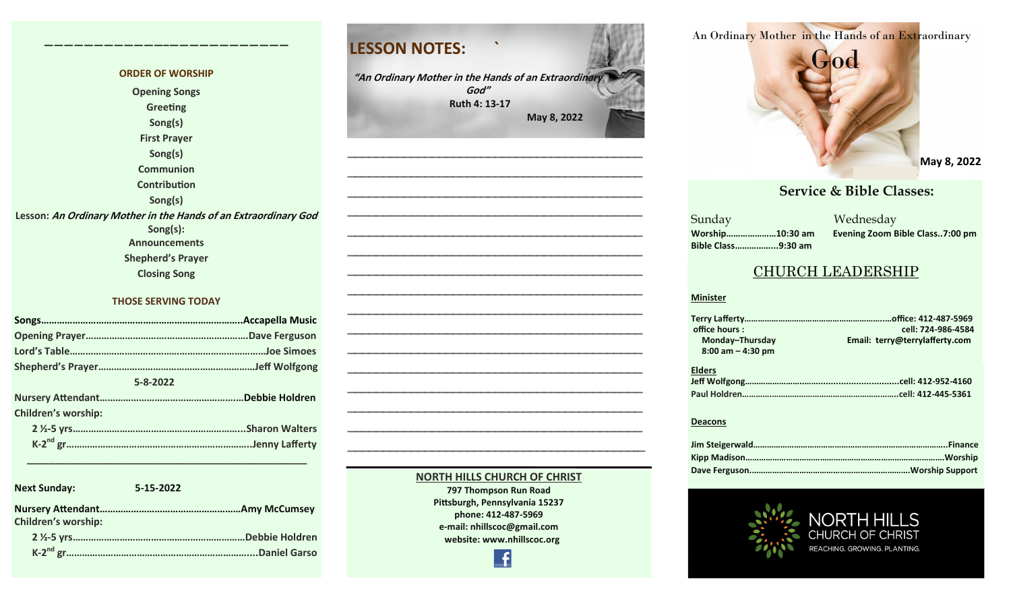#### **ORDER OF WORSHIP Opening Songs Greeting Song(s) First Prayer Song(s) Communion Contribution Song(s) Lesson: An Ordinary Mother in the Hands of an Extraordinary God Song(s): Announcements Shepherd's Prayer Closing Song THOSE SERVING TODAY**

**————————————–————————————**

| 5-8-2022 |                            |  |
|----------|----------------------------|--|
|          |                            |  |
|          | <b>Children's worship:</b> |  |
|          |                            |  |
|          |                            |  |
|          |                            |  |

 **\_\_\_\_\_\_\_\_\_\_\_\_\_\_\_\_\_\_\_\_\_\_\_\_\_\_\_\_\_\_\_\_\_\_\_\_\_\_\_\_\_\_\_\_\_\_\_\_\_\_\_**

| <b>Next Sunday:</b>        | 5-15-2022       |
|----------------------------|-----------------|
| <b>Children's worship:</b> |                 |
|                            | Debbie Holdren. |
|                            | Daniel Garso    |

# **LESSON NOTES: ` "An Ordinary Mother in the Hands of an Extraordinary God" Ruth 4: 13-17 May 8, 2022 —————————————————————————————————————————— —————————————————————————————————————————— —————————————————————————————————————————— —————————————————————————————————————————— —————————————————————————————————————————— —————————————————————————————————————————— —————————————————————————————————————————— —————————————————————————————————————————— —————————————————————————————————————————— —————————————————————————————————————————— —————————————————————————————————————————— —————————————————————————————————————————— —————————————————————————————————————————— —————————————————————————————————————————— —————————————————————————————————————————— —————————————————————————————————————————–—**

#### **NORTH HILLS CHURCH OF CHRIST**

**797 Thompson Run Road Pittsburgh, Pennsylvania 15237 phone: 412-487-5969 e-mail: nhillscoc@gmail.com website: www.nhillscoc.org** 



**June 20, 2021**<br> **May 8, 202 March 20, 2022 March 6, 2022 March 27, 2022 April 3, 2022 May 8, 2022**

#### **PERRICE & Bible Classes: October 29, 2017 November 5, 2017 November 12, 2017 November 26, 2017 December 24, 2017 January 24, 2017**

a a manazarta a shekarar 2011<br>Ne dhe a manazarta a manazarta a manazarta a manazarta a manazarta a manazarta a manazarta a manazarta a manaz<br>Ne da manazarta a manazarta a manazarta a manazarta a manazarta a manazarta a man **March 18, 2018 January 28, 2018 February 4, 2018 January 21, 2018 Sunday Bible Class……………...9:30 am**

**Worship…………………10:30 am Evening Zoom Bible Class..7:00 pm**

#### CHURCH LEADERSHIP

#### **Minister**

**Elders Jeff Wolfgong……………………..……................................cell: 412-952-4160 Paul Holdren………….………………………………………………..cell: 412-445-5361 Terry Lafferty……………………………………………………..…office: 412-487-5969 office hours : cell: 724-986-4584** Email: terry@terrylafferty.com  **8:00 am – 4:30 pm**

#### **Deacons**